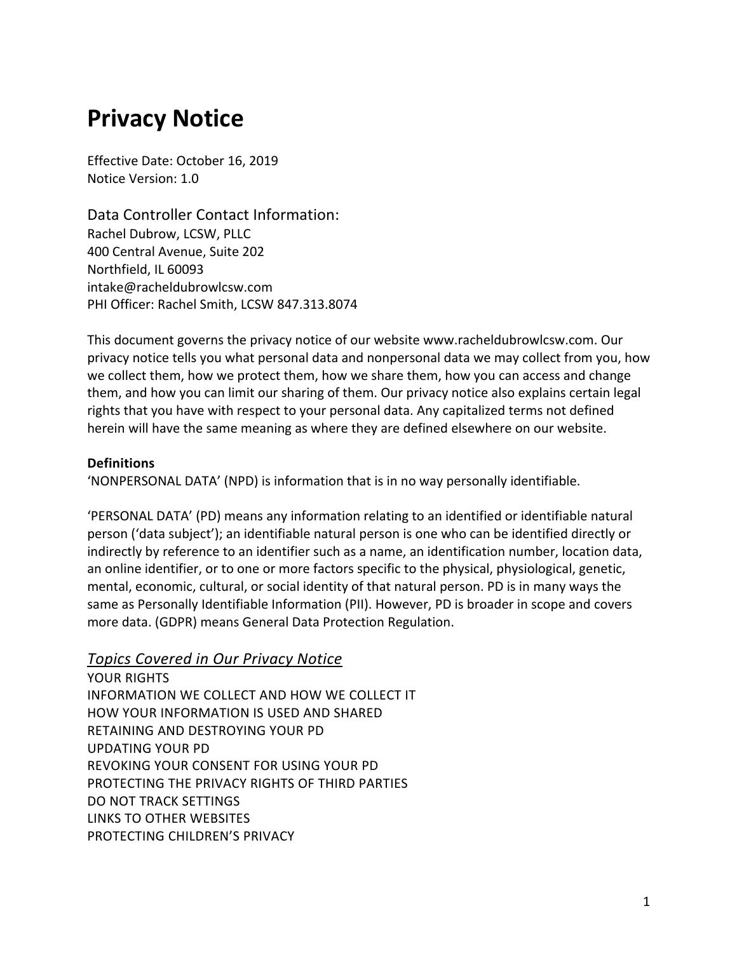# **Privacy Notice**

Effective Date: October 16, 2019 Notice Version: 1.0

Data Controller Contact Information: Rachel Dubrow, LCSW, PLLC 400 Central Avenue, Suite 202 Northfield, IL 60093 intake@racheldubrowlcsw.com PHI Officer: Rachel Smith, LCSW 847.313.8074

This document governs the privacy notice of our website www.racheldubrowlcsw.com. Our privacy notice tells you what personal data and nonpersonal data we may collect from you, how we collect them, how we protect them, how we share them, how you can access and change them, and how you can limit our sharing of them. Our privacy notice also explains certain legal rights that you have with respect to your personal data. Any capitalized terms not defined herein will have the same meaning as where they are defined elsewhere on our website.

## **Definitions**

'NONPERSONAL DATA' (NPD) is information that is in no way personally identifiable.

'PERSONAL DATA' (PD) means any information relating to an identified or identifiable natural person ('data subject'); an identifiable natural person is one who can be identified directly or indirectly by reference to an identifier such as a name, an identification number, location data, an online identifier, or to one or more factors specific to the physical, physiological, genetic, mental, economic, cultural, or social identity of that natural person. PD is in many ways the same as Personally Identifiable Information (PII). However, PD is broader in scope and covers more data. (GDPR) means General Data Protection Regulation.

# *Topics Covered in Our Privacy Notice*

YOUR RIGHTS INFORMATION WE COLLECT AND HOW WE COLLECT IT HOW YOUR INFORMATION IS USED AND SHARED RETAINING AND DESTROYING YOUR PD UPDATING YOUR PD REVOKING YOUR CONSENT FOR USING YOUR PD PROTECTING THE PRIVACY RIGHTS OF THIRD PARTIES DO NOT TRACK SETTINGS LINKS TO OTHER WEBSITES PROTECTING CHILDREN'S PRIVACY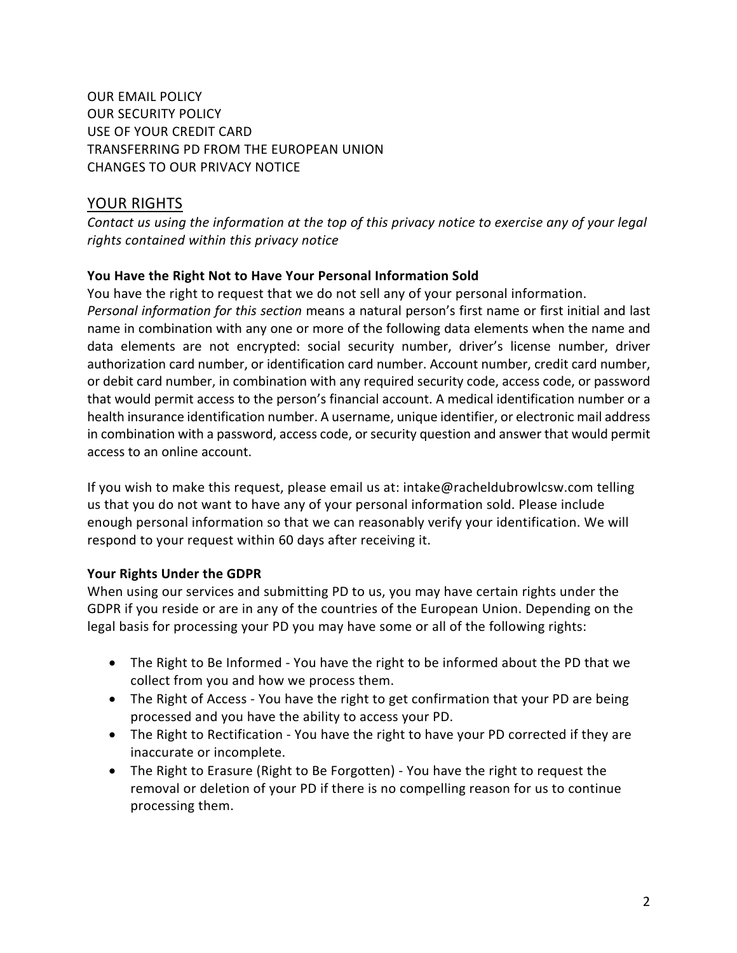OUR EMAIL POLICY OUR SECURITY POLICY USE OF YOUR CREDIT CARD TRANSFERRING PD FROM THE EUROPEAN UNION CHANGES TO OUR PRIVACY NOTICE

## YOUR RIGHTS

*Contact us using the information at the top of this privacy notice to exercise any of your legal rights contained within this privacy notice*

## **You Have the Right Not to Have Your Personal Information Sold**

You have the right to request that we do not sell any of your personal information. *Personal information for this section* means a natural person's first name or first initial and last name in combination with any one or more of the following data elements when the name and data elements are not encrypted: social security number, driver's license number, driver authorization card number, or identification card number. Account number, credit card number, or debit card number, in combination with any required security code, access code, or password that would permit access to the person's financial account. A medical identification number or a health insurance identification number. A username, unique identifier, or electronic mail address in combination with a password, access code, or security question and answer that would permit access to an online account.

If you wish to make this request, please email us at: intake@racheldubrowlcsw.com telling us that you do not want to have any of your personal information sold. Please include enough personal information so that we can reasonably verify your identification. We will respond to your request within 60 days after receiving it.

## **Your Rights Under the GDPR**

When using our services and submitting PD to us, you may have certain rights under the GDPR if you reside or are in any of the countries of the European Union. Depending on the legal basis for processing your PD you may have some or all of the following rights:

- The Right to Be Informed You have the right to be informed about the PD that we collect from you and how we process them.
- The Right of Access You have the right to get confirmation that your PD are being processed and you have the ability to access your PD.
- The Right to Rectification You have the right to have your PD corrected if they are inaccurate or incomplete.
- The Right to Erasure (Right to Be Forgotten) You have the right to request the removal or deletion of your PD if there is no compelling reason for us to continue processing them.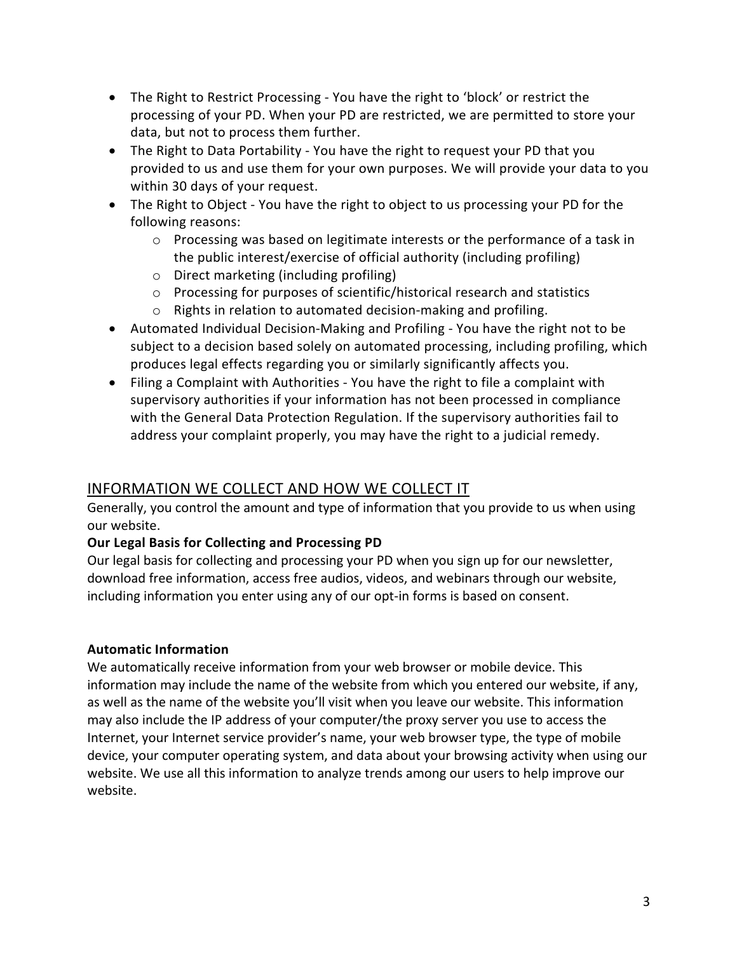- The Right to Restrict Processing You have the right to 'block' or restrict the processing of your PD. When your PD are restricted, we are permitted to store your data, but not to process them further.
- The Right to Data Portability You have the right to request your PD that you provided to us and use them for your own purposes. We will provide your data to you within 30 days of your request.
- The Right to Object You have the right to object to us processing your PD for the following reasons:
	- o Processing was based on legitimate interests or the performance of a task in the public interest/exercise of official authority (including profiling)
	- o Direct marketing (including profiling)
	- o Processing for purposes of scientific/historical research and statistics
	- o Rights in relation to automated decision-making and profiling.
- Automated Individual Decision-Making and Profiling You have the right not to be subject to a decision based solely on automated processing, including profiling, which produces legal effects regarding you or similarly significantly affects you.
- Filing a Complaint with Authorities You have the right to file a complaint with supervisory authorities if your information has not been processed in compliance with the General Data Protection Regulation. If the supervisory authorities fail to address your complaint properly, you may have the right to a judicial remedy.

# INFORMATION WE COLLECT AND HOW WE COLLECT IT

Generally, you control the amount and type of information that you provide to us when using our website.

## **Our Legal Basis for Collecting and Processing PD**

Our legal basis for collecting and processing your PD when you sign up for our newsletter, download free information, access free audios, videos, and webinars through our website, including information you enter using any of our opt-in forms is based on consent.

## **Automatic Information**

We automatically receive information from your web browser or mobile device. This information may include the name of the website from which you entered our website, if any, as well as the name of the website you'll visit when you leave our website. This information may also include the IP address of your computer/the proxy server you use to access the Internet, your Internet service provider's name, your web browser type, the type of mobile device, your computer operating system, and data about your browsing activity when using our website. We use all this information to analyze trends among our users to help improve our website.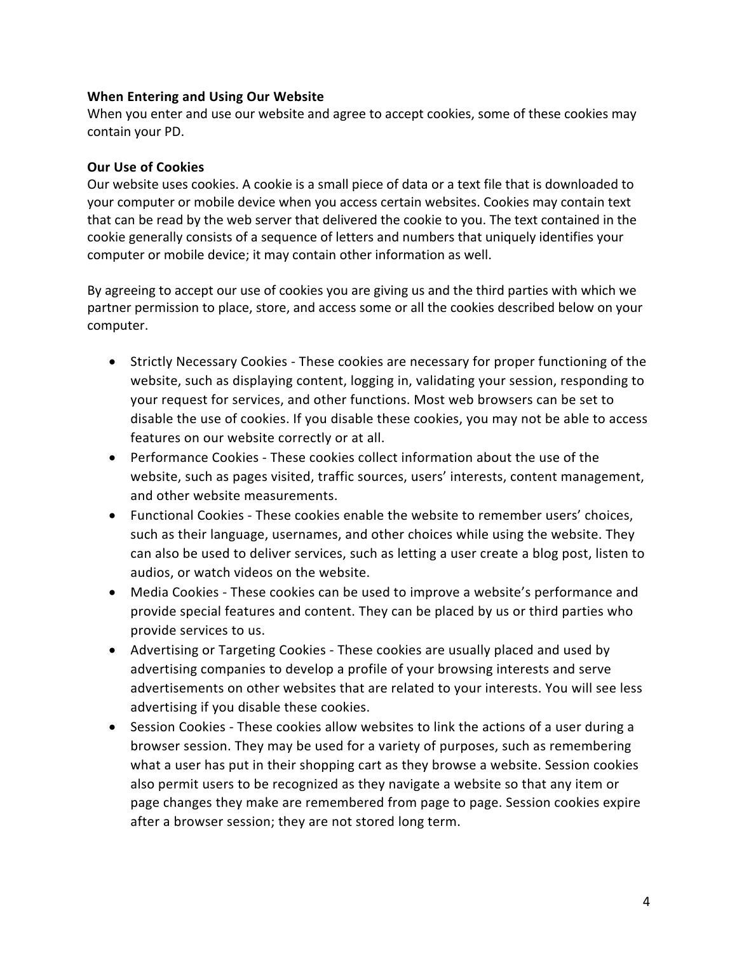#### **When Entering and Using Our Website**

When you enter and use our website and agree to accept cookies, some of these cookies may contain your PD.

#### **Our Use of Cookies**

Our website uses cookies. A cookie is a small piece of data or a text file that is downloaded to your computer or mobile device when you access certain websites. Cookies may contain text that can be read by the web server that delivered the cookie to you. The text contained in the cookie generally consists of a sequence of letters and numbers that uniquely identifies your computer or mobile device; it may contain other information as well.

By agreeing to accept our use of cookies you are giving us and the third parties with which we partner permission to place, store, and access some or all the cookies described below on your computer.

- Strictly Necessary Cookies These cookies are necessary for proper functioning of the website, such as displaying content, logging in, validating your session, responding to your request for services, and other functions. Most web browsers can be set to disable the use of cookies. If you disable these cookies, you may not be able to access features on our website correctly or at all.
- Performance Cookies These cookies collect information about the use of the website, such as pages visited, traffic sources, users' interests, content management, and other website measurements.
- Functional Cookies These cookies enable the website to remember users' choices, such as their language, usernames, and other choices while using the website. They can also be used to deliver services, such as letting a user create a blog post, listen to audios, or watch videos on the website.
- Media Cookies These cookies can be used to improve a website's performance and provide special features and content. They can be placed by us or third parties who provide services to us.
- Advertising or Targeting Cookies These cookies are usually placed and used by advertising companies to develop a profile of your browsing interests and serve advertisements on other websites that are related to your interests. You will see less advertising if you disable these cookies.
- Session Cookies These cookies allow websites to link the actions of a user during a browser session. They may be used for a variety of purposes, such as remembering what a user has put in their shopping cart as they browse a website. Session cookies also permit users to be recognized as they navigate a website so that any item or page changes they make are remembered from page to page. Session cookies expire after a browser session; they are not stored long term.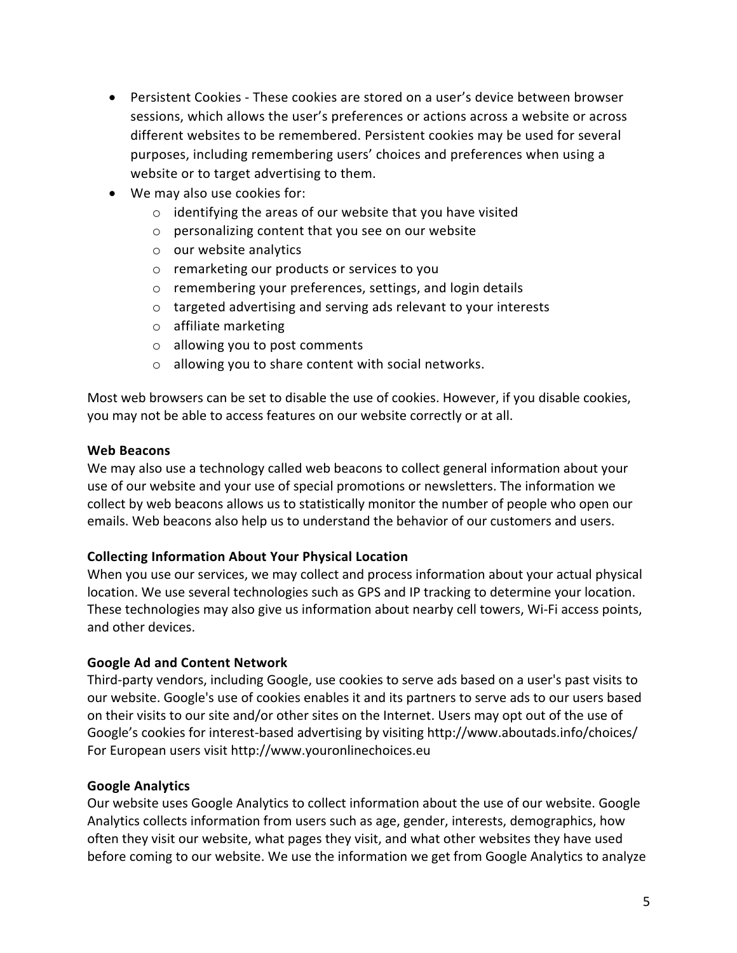- Persistent Cookies These cookies are stored on a user's device between browser sessions, which allows the user's preferences or actions across a website or across different websites to be remembered. Persistent cookies may be used for several purposes, including remembering users' choices and preferences when using a website or to target advertising to them.
- We may also use cookies for:
	- o identifying the areas of our website that you have visited
	- o personalizing content that you see on our website
	- o our website analytics
	- o remarketing our products or services to you
	- o remembering your preferences, settings, and login details
	- o targeted advertising and serving ads relevant to your interests
	- o affiliate marketing
	- o allowing you to post comments
	- o allowing you to share content with social networks.

Most web browsers can be set to disable the use of cookies. However, if you disable cookies, you may not be able to access features on our website correctly or at all.

#### **Web Beacons**

We may also use a technology called web beacons to collect general information about your use of our website and your use of special promotions or newsletters. The information we collect by web beacons allows us to statistically monitor the number of people who open our emails. Web beacons also help us to understand the behavior of our customers and users.

#### **Collecting Information About Your Physical Location**

When you use our services, we may collect and process information about your actual physical location. We use several technologies such as GPS and IP tracking to determine your location. These technologies may also give us information about nearby cell towers, Wi-Fi access points, and other devices.

#### **Google Ad and Content Network**

Third-party vendors, including Google, use cookies to serve ads based on a user's past visits to our website. Google's use of cookies enables it and its partners to serve ads to our users based on their visits to our site and/or other sites on the Internet. Users may opt out of the use of Google's cookies for interest-based advertising by visiting http://www.aboutads.info/choices/ For European users visit http://www.youronlinechoices.eu

#### **Google Analytics**

Our website uses Google Analytics to collect information about the use of our website. Google Analytics collects information from users such as age, gender, interests, demographics, how often they visit our website, what pages they visit, and what other websites they have used before coming to our website. We use the information we get from Google Analytics to analyze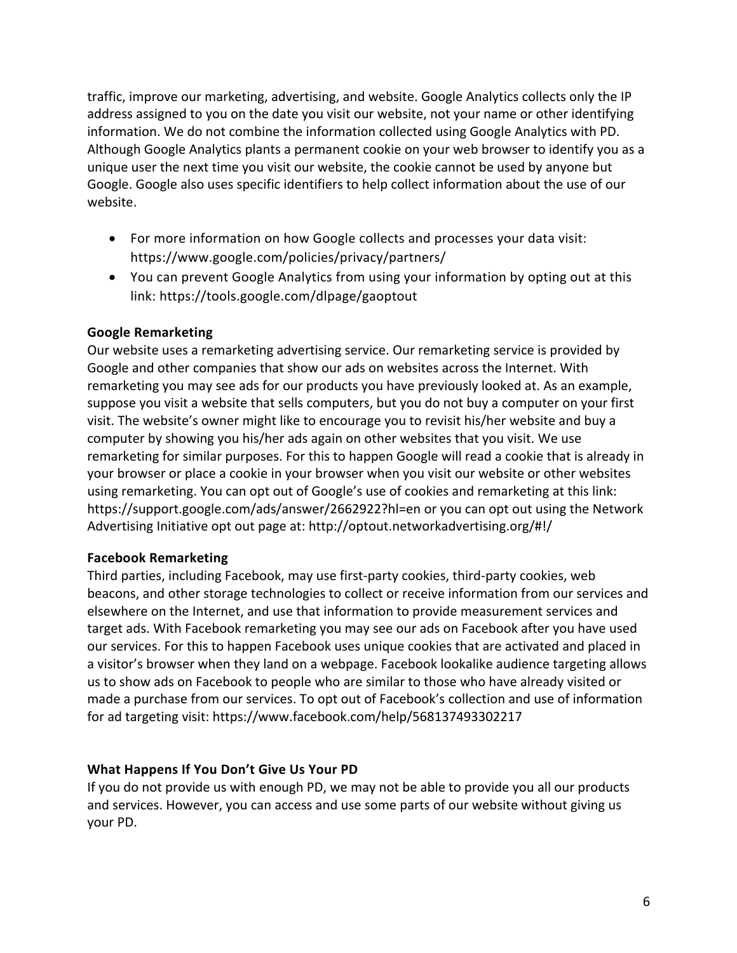traffic, improve our marketing, advertising, and website. Google Analytics collects only the IP address assigned to you on the date you visit our website, not your name or other identifying information. We do not combine the information collected using Google Analytics with PD. Although Google Analytics plants a permanent cookie on your web browser to identify you as a unique user the next time you visit our website, the cookie cannot be used by anyone but Google. Google also uses specific identifiers to help collect information about the use of our website.

- For more information on how Google collects and processes your data visit: https://www.google.com/policies/privacy/partners/
- You can prevent Google Analytics from using your information by opting out at this link: https://tools.google.com/dlpage/gaoptout

## **Google Remarketing**

Our website uses a remarketing advertising service. Our remarketing service is provided by Google and other companies that show our ads on websites across the Internet. With remarketing you may see ads for our products you have previously looked at. As an example, suppose you visit a website that sells computers, but you do not buy a computer on your first visit. The website's owner might like to encourage you to revisit his/her website and buy a computer by showing you his/her ads again on other websites that you visit. We use remarketing for similar purposes. For this to happen Google will read a cookie that is already in your browser or place a cookie in your browser when you visit our website or other websites using remarketing. You can opt out of Google's use of cookies and remarketing at this link: https://support.google.com/ads/answer/2662922?hl=en or you can opt out using the Network Advertising Initiative opt out page at: http://optout.networkadvertising.org/#!/

## **Facebook Remarketing**

Third parties, including Facebook, may use first-party cookies, third-party cookies, web beacons, and other storage technologies to collect or receive information from our services and elsewhere on the Internet, and use that information to provide measurement services and target ads. With Facebook remarketing you may see our ads on Facebook after you have used our services. For this to happen Facebook uses unique cookies that are activated and placed in a visitor's browser when they land on a webpage. Facebook lookalike audience targeting allows us to show ads on Facebook to people who are similar to those who have already visited or made a purchase from our services. To opt out of Facebook's collection and use of information for ad targeting visit: https://www.facebook.com/help/568137493302217

## **What Happens If You Don't Give Us Your PD**

If you do not provide us with enough PD, we may not be able to provide you all our products and services. However, you can access and use some parts of our website without giving us your PD.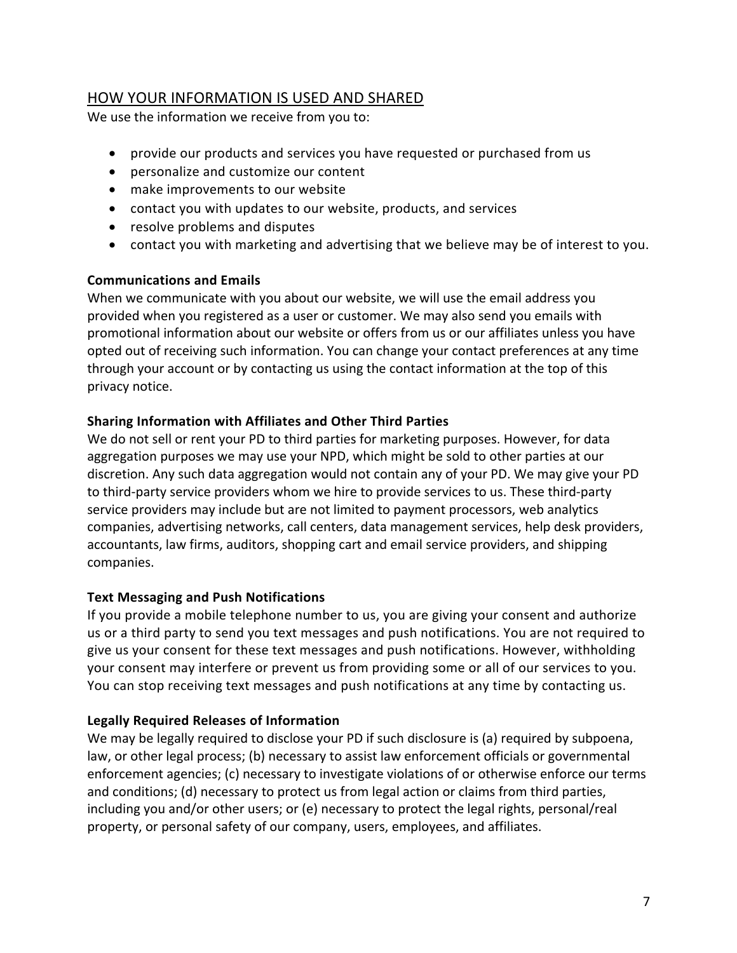## HOW YOUR INFORMATION IS USED AND SHARED

We use the information we receive from you to:

- provide our products and services you have requested or purchased from us
- personalize and customize our content
- make improvements to our website
- contact you with updates to our website, products, and services
- resolve problems and disputes
- contact you with marketing and advertising that we believe may be of interest to you.

## **Communications and Emails**

When we communicate with you about our website, we will use the email address you provided when you registered as a user or customer. We may also send you emails with promotional information about our website or offers from us or our affiliates unless you have opted out of receiving such information. You can change your contact preferences at any time through your account or by contacting us using the contact information at the top of this privacy notice.

## **Sharing Information with Affiliates and Other Third Parties**

We do not sell or rent your PD to third parties for marketing purposes. However, for data aggregation purposes we may use your NPD, which might be sold to other parties at our discretion. Any such data aggregation would not contain any of your PD. We may give your PD to third-party service providers whom we hire to provide services to us. These third-party service providers may include but are not limited to payment processors, web analytics companies, advertising networks, call centers, data management services, help desk providers, accountants, law firms, auditors, shopping cart and email service providers, and shipping companies.

## **Text Messaging and Push Notifications**

If you provide a mobile telephone number to us, you are giving your consent and authorize us or a third party to send you text messages and push notifications. You are not required to give us your consent for these text messages and push notifications. However, withholding your consent may interfere or prevent us from providing some or all of our services to you. You can stop receiving text messages and push notifications at any time by contacting us.

## **Legally Required Releases of Information**

We may be legally required to disclose your PD if such disclosure is (a) required by subpoena, law, or other legal process; (b) necessary to assist law enforcement officials or governmental enforcement agencies; (c) necessary to investigate violations of or otherwise enforce our terms and conditions; (d) necessary to protect us from legal action or claims from third parties, including you and/or other users; or (e) necessary to protect the legal rights, personal/real property, or personal safety of our company, users, employees, and affiliates.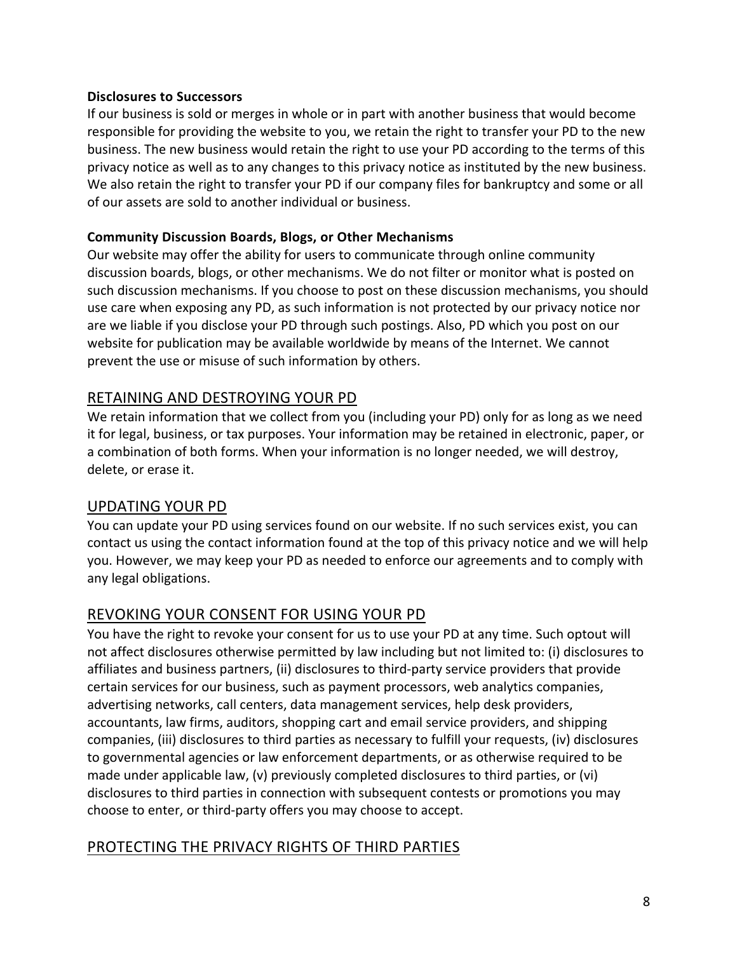#### **Disclosures to Successors**

If our business is sold or merges in whole or in part with another business that would become responsible for providing the website to you, we retain the right to transfer your PD to the new business. The new business would retain the right to use your PD according to the terms of this privacy notice as well as to any changes to this privacy notice as instituted by the new business. We also retain the right to transfer your PD if our company files for bankruptcy and some or all of our assets are sold to another individual or business.

#### **Community Discussion Boards, Blogs, or Other Mechanisms**

Our website may offer the ability for users to communicate through online community discussion boards, blogs, or other mechanisms. We do not filter or monitor what is posted on such discussion mechanisms. If you choose to post on these discussion mechanisms, you should use care when exposing any PD, as such information is not protected by our privacy notice nor are we liable if you disclose your PD through such postings. Also, PD which you post on our website for publication may be available worldwide by means of the Internet. We cannot prevent the use or misuse of such information by others.

## RETAINING AND DESTROYING YOUR PD

We retain information that we collect from you (including your PD) only for as long as we need it for legal, business, or tax purposes. Your information may be retained in electronic, paper, or a combination of both forms. When your information is no longer needed, we will destroy, delete, or erase it.

## UPDATING YOUR PD

You can update your PD using services found on our website. If no such services exist, you can contact us using the contact information found at the top of this privacy notice and we will help you. However, we may keep your PD as needed to enforce our agreements and to comply with any legal obligations.

## REVOKING YOUR CONSENT FOR USING YOUR PD

You have the right to revoke your consent for us to use your PD at any time. Such optout will not affect disclosures otherwise permitted by law including but not limited to: (i) disclosures to affiliates and business partners, (ii) disclosures to third-party service providers that provide certain services for our business, such as payment processors, web analytics companies, advertising networks, call centers, data management services, help desk providers, accountants, law firms, auditors, shopping cart and email service providers, and shipping companies, (iii) disclosures to third parties as necessary to fulfill your requests, (iv) disclosures to governmental agencies or law enforcement departments, or as otherwise required to be made under applicable law, (v) previously completed disclosures to third parties, or (vi) disclosures to third parties in connection with subsequent contests or promotions you may choose to enter, or third-party offers you may choose to accept.

## PROTECTING THE PRIVACY RIGHTS OF THIRD PARTIES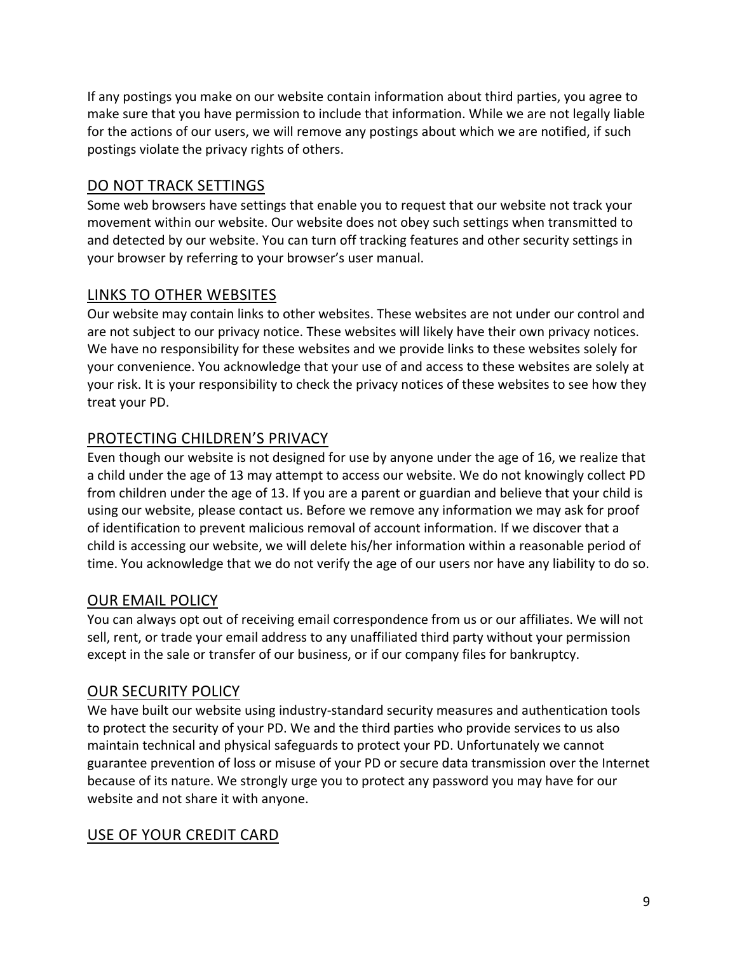If any postings you make on our website contain information about third parties, you agree to make sure that you have permission to include that information. While we are not legally liable for the actions of our users, we will remove any postings about which we are notified, if such postings violate the privacy rights of others.

## DO NOT TRACK SETTINGS

Some web browsers have settings that enable you to request that our website not track your movement within our website. Our website does not obey such settings when transmitted to and detected by our website. You can turn off tracking features and other security settings in your browser by referring to your browser's user manual.

# LINKS TO OTHER WEBSITES

Our website may contain links to other websites. These websites are not under our control and are not subject to our privacy notice. These websites will likely have their own privacy notices. We have no responsibility for these websites and we provide links to these websites solely for your convenience. You acknowledge that your use of and access to these websites are solely at your risk. It is your responsibility to check the privacy notices of these websites to see how they treat your PD.

# PROTECTING CHILDREN'S PRIVACY

Even though our website is not designed for use by anyone under the age of 16, we realize that a child under the age of 13 may attempt to access our website. We do not knowingly collect PD from children under the age of 13. If you are a parent or guardian and believe that your child is using our website, please contact us. Before we remove any information we may ask for proof of identification to prevent malicious removal of account information. If we discover that a child is accessing our website, we will delete his/her information within a reasonable period of time. You acknowledge that we do not verify the age of our users nor have any liability to do so.

# OUR EMAIL POLICY

You can always opt out of receiving email correspondence from us or our affiliates. We will not sell, rent, or trade your email address to any unaffiliated third party without your permission except in the sale or transfer of our business, or if our company files for bankruptcy.

## OUR SECURITY POLICY

We have built our website using industry-standard security measures and authentication tools to protect the security of your PD. We and the third parties who provide services to us also maintain technical and physical safeguards to protect your PD. Unfortunately we cannot guarantee prevention of loss or misuse of your PD or secure data transmission over the Internet because of its nature. We strongly urge you to protect any password you may have for our website and not share it with anyone.

# USE OF YOUR CREDIT CARD